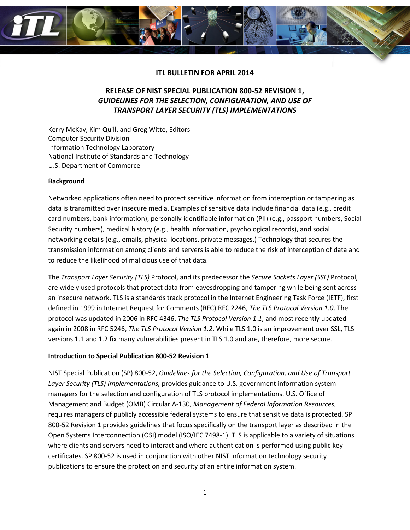

## **ITL BULLETIN FOR APRIL 2014**

# **RELEASE OF NIST SPECIAL PUBLICATION 800-52 REVISION 1,**  *GUIDELINES FOR THE SELECTION, CONFIGURATION, AND USE OF TRANSPORT LAYER SECURITY (TLS) IMPLEMENTATIONS*

Kerry McKay, Kim Quill, and Greg Witte, Editors Computer Security Division Information Technology Laboratory National Institute of Standards and Technology U.S. Department of Commerce

#### **Background**

Networked applications often need to protect sensitive information from interception or tampering as data is transmitted over insecure media. Examples of sensitive data include financial data (e.g., credit card numbers, bank information), personally identifiable information (PII) (e.g., passport numbers, Social Security numbers), medical history (e.g., health information, psychological records), and social networking details (e.g., emails, physical locations, private messages.) Technology that secures the transmission information among clients and servers is able to reduce the risk of interception of data and to reduce the likelihood of malicious use of that data.

The *Transport Layer Security (TLS)* Protocol, and its predecessor the *Secure Sockets Layer (SSL)* Protocol, are widely used protocols that protect data from eavesdropping and tampering while being sent across an insecure network. TLS is a standards track protocol in the Internet Engineering Task Force (IETF), first defined in 1999 in Internet Request for Comments (RFC) RFC 2246, *The TLS Protocol Version 1.0*. The protocol was updated in 2006 in RFC 4346, *The TLS Protocol Version 1.1*, and most recently updated again in 2008 in RFC 5246, *The TLS Protocol Version 1.2*. While TLS 1.0 is an improvement over SSL, TLS versions 1.1 and 1.2 fix many vulnerabilities present in TLS 1.0 and are, therefore, more secure.

#### **Introduction to Special Publication 800-52 Revision 1**

NIST Special Publication (SP) 800-52, *Guidelines for the Selection, Configuration, and Use of Transport Layer Security (TLS) Implementations,* provides guidance to U.S. government information system managers for the selection and configuration of TLS protocol implementations. U.S. Office of Management and Budget (OMB) Circular A-130, *Management of Federal Information Resources*, requires managers of publicly accessible federal systems to ensure that sensitive data is protected. SP 800-52 Revision 1 provides guidelines that focus specifically on the transport layer as described in the Open Systems Interconnection (OSI) model (ISO/IEC 7498-1). TLS is applicable to a variety of situations where clients and servers need to interact and where authentication is performed using public key certificates. SP 800-52 is used in conjunction with other NIST information technology security publications to ensure the protection and security of an entire information system.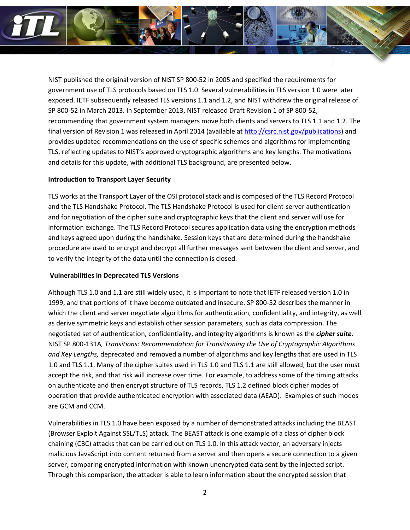

NIST published the original version of NIST SP 800-52 in 2005 and specified the requirements for government use of TLS protocols based on TLS 1.0. Several vulnerabilities in TLS version 1.0 were later exposed. IETF subsequently released TLS versions 1.1 and 1.2, and NIST withdrew the original release of SP 800-52 in March 2013. In September 2013, NIST released Draft Revision 1 of SP 800-52, recommending that government system managers move both clients and servers to TLS 1.1 and 1.2. The final version of Revision 1 was released in April 2014 (available at [http://csrc.nist.gov/publications\)](http://csrc.nist.gov/publications) and provides updated recommendations on the use of specific schemes and algorithms for implementing TLS, reflecting updates to NIST's approved cryptographic algorithms and key lengths. The motivations and details for this update, with additional TLS background, are presented below.

#### **Introduction to Transport Layer Security**

TLS works at the Transport Layer of the OSI protocol stack and is composed of the TLS Record Protocol and the TLS Handshake Protocol. The TLS Handshake Protocol is used for client-server authentication and for negotiation of the cipher suite and cryptographic keys that the client and server will use for information exchange. The TLS Record Protocol secures application data using the encryption methods and keys agreed upon during the handshake. Session keys that are determined during the handshake procedure are used to encrypt and decrypt all further messages sent between the client and server, and to verify the integrity of the data until the connection is closed.

## **Vulnerabilities in Deprecated TLS Versions**

Although TLS 1.0 and 1.1 are still widely used, it is important to note that IETF released version 1.0 in 1999, and that portions of it have become outdated and insecure. SP 800-52 describes the manner in which the client and server negotiate algorithms for authentication, confidentiality, and integrity, as well as derive symmetric keys and establish other session parameters, such as data compression. The negotiated set of authentication, confidentiality, and integrity algorithms is known as the *cipher suite*. NIST SP 800-131A*, Transitions: Recommendation for Transitioning the Use of Cryptographic Algorithms and Key Lengths,* deprecated and removed a number of algorithms and key lengths that are used in TLS 1.0 and TLS 1.1. Many of the cipher suites used in TLS 1.0 and TLS 1.1 are still allowed, but the user must accept the risk, and that risk will increase over time. For example, to address some of the timing attacks on authenticate and then encrypt structure of TLS records, TLS 1.2 defined block cipher modes of operation that provide authenticated encryption with associated data (AEAD). Examples of such modes are GCM and CCM.

Vulnerabilities in TLS 1.0 have been exposed by a number of demonstrated attacks including the BEAST (Browser Exploit Against SSL/TLS) attack. The BEAST attack is one example of a class of cipher block chaining (CBC) attacks that can be carried out on TLS 1.0. In this attack vector, an adversary injects malicious JavaScript into content returned from a server and then opens a secure connection to a given server, comparing encrypted information with known unencrypted data sent by the injected script. Through this comparison, the attacker is able to learn information about the encrypted session that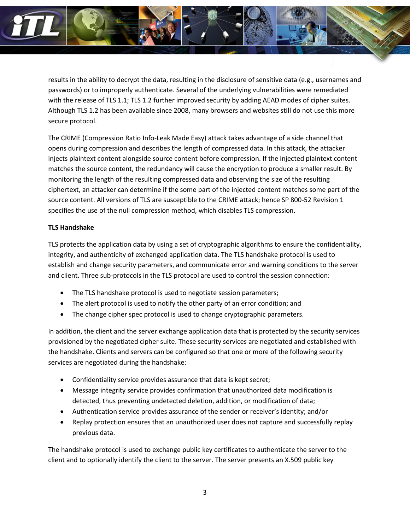

results in the ability to decrypt the data, resulting in the disclosure of sensitive data (e.g., usernames and passwords) or to improperly authenticate. Several of the underlying vulnerabilities were remediated with the release of TLS 1.1; TLS 1.2 further improved security by adding AEAD modes of cipher suites. Although TLS 1.2 has been available since 2008, many browsers and websites still do not use this more secure protocol.

The CRIME (Compression Ratio Info-Leak Made Easy) attack takes advantage of a side channel that opens during compression and describes the length of compressed data. In this attack, the attacker injects plaintext content alongside source content before compression. If the injected plaintext content matches the source content, the redundancy will cause the encryption to produce a smaller result. By monitoring the length of the resulting compressed data and observing the size of the resulting ciphertext, an attacker can determine if the some part of the injected content matches some part of the source content. All versions of TLS are susceptible to the CRIME attack; hence SP 800-52 Revision 1 specifies the use of the null compression method, which disables TLS compression.

## **TLS Handshake**

TLS protects the application data by using a set of cryptographic algorithms to ensure the confidentiality, integrity, and authenticity of exchanged application data. The TLS handshake protocol is used to establish and change security parameters, and communicate error and warning conditions to the server and client. Three sub-protocols in the TLS protocol are used to control the session connection:

- The TLS handshake protocol is used to negotiate session parameters;
- The alert protocol is used to notify the other party of an error condition; and
- The change cipher spec protocol is used to change cryptographic parameters.

In addition, the client and the server exchange application data that is protected by the security services provisioned by the negotiated cipher suite. These security services are negotiated and established with the handshake. Clients and servers can be configured so that one or more of the following security services are negotiated during the handshake:

- Confidentiality service provides assurance that data is kept secret;
- Message integrity service provides confirmation that unauthorized data modification is detected, thus preventing undetected deletion, addition, or modification of data;
- Authentication service provides assurance of the sender or receiver's identity; and/or
- Replay protection ensures that an unauthorized user does not capture and successfully replay previous data.

The handshake protocol is used to exchange public key certificates to authenticate the server to the client and to optionally identify the client to the server. The server presents an X.509 public key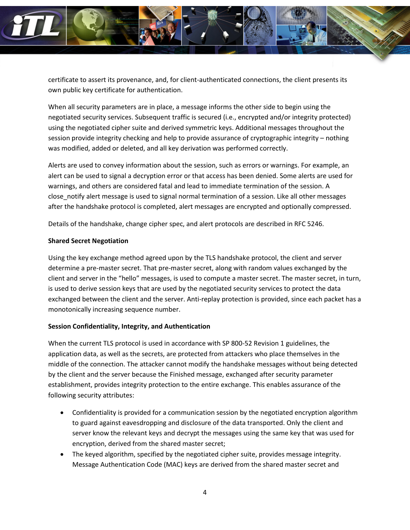

certificate to assert its provenance, and, for client-authenticated connections, the client presents its own public key certificate for authentication.

When all security parameters are in place, a message informs the other side to begin using the negotiated security services. Subsequent traffic is secured (i.e., encrypted and/or integrity protected) using the negotiated cipher suite and derived symmetric keys. Additional messages throughout the session provide integrity checking and help to provide assurance of cryptographic integrity – nothing was modified, added or deleted, and all key derivation was performed correctly.

Alerts are used to convey information about the session, such as errors or warnings. For example, an alert can be used to signal a decryption error or that access has been denied. Some alerts are used for warnings, and others are considered fatal and lead to immediate termination of the session. A close\_notify alert message is used to signal normal termination of a session. Like all other messages after the handshake protocol is completed, alert messages are encrypted and optionally compressed.

Details of the handshake, change cipher spec, and alert protocols are described in RFC 5246.

## **Shared Secret Negotiation**

Using the key exchange method agreed upon by the TLS handshake protocol, the client and server determine a pre-master secret. That pre-master secret, along with random values exchanged by the client and server in the "hello" messages, is used to compute a master secret. The master secret, in turn, is used to derive session keys that are used by the negotiated security services to protect the data exchanged between the client and the server. Anti-replay protection is provided, since each packet has a monotonically increasing sequence number.

## **Session Confidentiality, Integrity, and Authentication**

When the current TLS protocol is used in accordance with SP 800-52 Revision 1 guidelines, the application data, as well as the secrets, are protected from attackers who place themselves in the middle of the connection. The attacker cannot modify the handshake messages without being detected by the client and the server because the Finished message, exchanged after security parameter establishment, provides integrity protection to the entire exchange. This enables assurance of the following security attributes:

- Confidentiality is provided for a communication session by the negotiated encryption algorithm to guard against eavesdropping and disclosure of the data transported. Only the client and server know the relevant keys and decrypt the messages using the same key that was used for encryption, derived from the shared master secret;
- The keyed algorithm, specified by the negotiated cipher suite, provides message integrity. Message Authentication Code (MAC) keys are derived from the shared master secret and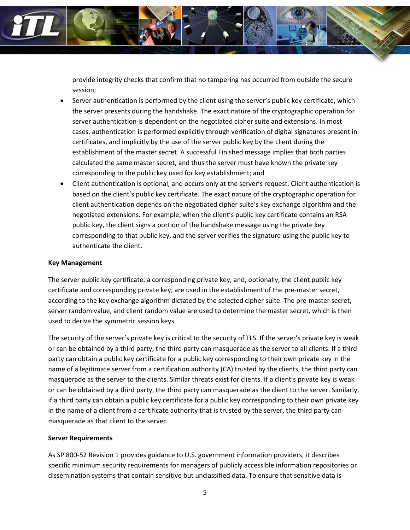

provide integrity checks that confirm that no tampering has occurred from outside the secure session;

- Server authentication is performed by the client using the server's public key certificate, which the server presents during the handshake. The exact nature of the cryptographic operation for server authentication is dependent on the negotiated cipher suite and extensions. In most cases, authentication is performed explicitly through verification of digital signatures present in certificates, and implicitly by the use of the server public key by the client during the establishment of the master secret. A successful Finished message implies that both parties calculated the same master secret, and thus the server must have known the private key corresponding to the public key used for key establishment; and
- Client authentication is optional, and occurs only at the server's request. Client authentication is based on the client's public key certificate. The exact nature of the cryptographic operation for client authentication depends on the negotiated cipher suite's key exchange algorithm and the negotiated extensions. For example, when the client's public key certificate contains an RSA public key, the client signs a portion of the handshake message using the private key corresponding to that public key, and the server verifies the signature using the public key to authenticate the client.

### **Key Management**

The server public key certificate, a corresponding private key, and, optionally, the client public key certificate and corresponding private key, are used in the establishment of the pre-master secret, according to the key exchange algorithm dictated by the selected cipher suite. The pre-master secret, server random value, and client random value are used to determine the master secret, which is then used to derive the symmetric session keys.

The security of the server's private key is critical to the security of TLS. If the server's private key is weak or can be obtained by a third party, the third party can masquerade as the server to all clients. If a third party can obtain a public key certificate for a public key corresponding to their own private key in the name of a legitimate server from a certification authority (CA) trusted by the clients, the third party can masquerade as the server to the clients. Similar threats exist for clients. If a client's private key is weak or can be obtained by a third party, the third party can masquerade as the client to the server. Similarly, if a third party can obtain a public key certificate for a public key corresponding to their own private key in the name of a client from a certificate authority that is trusted by the server, the third party can masquerade as that client to the server.

## **Server Requirements**

As SP 800-52 Revision 1 provides guidance to U.S. government information providers, it describes specific minimum security requirements for managers of publicly accessible information repositories or dissemination systems that contain sensitive but unclassified data. To ensure that sensitive data is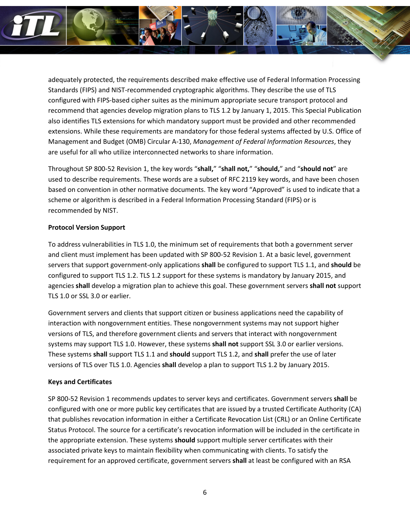

adequately protected, the requirements described make effective use of Federal Information Processing Standards (FIPS) and NIST-recommended cryptographic algorithms. They describe the use of TLS configured with FIPS-based cipher suites as the minimum appropriate secure transport protocol and recommend that agencies develop migration plans to TLS 1.2 by January 1, 2015. This Special Publication also identifies TLS extensions for which mandatory support must be provided and other recommended extensions. While these requirements are mandatory for those federal systems affected by U.S. Office of Management and Budget (OMB) Circular A-130, *Management of Federal Information Resources*, they are useful for all who utilize interconnected networks to share information.

Throughout SP 800-52 Revision 1, the key words "**shall,**" "**shall not,**" "**should,**" and "**should not**" are used to describe requirements. These words are a subset of RFC 2119 key words, and have been chosen based on convention in other normative documents. The key word "Approved" is used to indicate that a scheme or algorithm is described in a Federal Information Processing Standard (FIPS) or is recommended by NIST.

#### **Protocol Version Support**

To address vulnerabilities in TLS 1.0, the minimum set of requirements that both a government server and client must implement has been updated with SP 800-52 Revision 1. At a basic level, government servers that support government-only applications **shall** be configured to support TLS 1.1, and **should** be configured to support TLS 1.2. TLS 1.2 support for these systems is mandatory by January 2015, and agencies **shall** develop a migration plan to achieve this goal. These government servers **shall not** support TLS 1.0 or SSL 3.0 or earlier.

Government servers and clients that support citizen or business applications need the capability of interaction with nongovernment entities. These nongovernment systems may not support higher versions of TLS, and therefore government clients and servers that interact with nongovernment systems may support TLS 1.0. However, these systems **shall not** support SSL 3.0 or earlier versions. These systems **shall** support TLS 1.1 and **should** support TLS 1.2, and **shall** prefer the use of later versions of TLS over TLS 1.0. Agencies **shall** develop a plan to support TLS 1.2 by January 2015.

## **Keys and Certificates**

SP 800-52 Revision 1 recommends updates to server keys and certificates. Government servers **shall** be configured with one or more public key certificates that are issued by a trusted Certificate Authority (CA) that publishes revocation information in either a Certificate Revocation List (CRL) or an Online Certificate Status Protocol. The source for a certificate's revocation information will be included in the certificate in the appropriate extension. These systems **should** support multiple server certificates with their associated private keys to maintain flexibility when communicating with clients. To satisfy the requirement for an approved certificate, government servers **shall** at least be configured with an RSA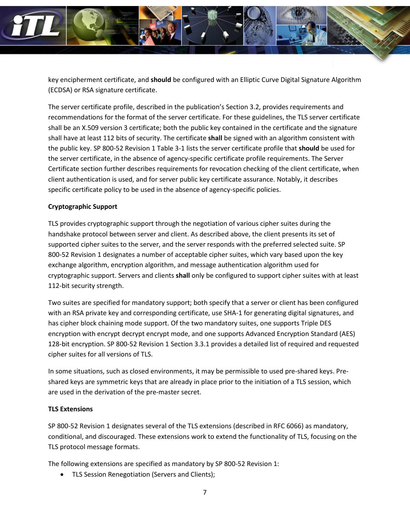

key encipherment certificate, and **should** be configured with an Elliptic Curve Digital Signature Algorithm (ECDSA) or RSA signature certificate.

The server certificate profile, described in the publication's Section 3.2, provides requirements and recommendations for the format of the server certificate. For these guidelines, the TLS server certificate shall be an X.509 version 3 certificate; both the public key contained in the certificate and the signature shall have at least 112 bits of security. The certificate **shall** be signed with an algorithm consistent with the public key. SP 800-52 Revision 1 Table 3-1 lists the server certificate profile that **should** be used for the server certificate, in the absence of agency-specific certificate profile requirements. The Server Certificate section further describes requirements for revocation checking of the client certificate, when client authentication is used, and for server public key certificate assurance. Notably, it describes specific certificate policy to be used in the absence of agency-specific policies.

## **Cryptographic Support**

TLS provides cryptographic support through the negotiation of various cipher suites during the handshake protocol between server and client. As described above, the client presents its set of supported cipher suites to the server, and the server responds with the preferred selected suite. SP 800-52 Revision 1 designates a number of acceptable cipher suites, which vary based upon the key exchange algorithm, encryption algorithm, and message authentication algorithm used for cryptographic support. Servers and clients **shall** only be configured to support cipher suites with at least 112-bit security strength.

Two suites are specified for mandatory support; both specify that a server or client has been configured with an RSA private key and corresponding certificate, use SHA-1 for generating digital signatures, and has cipher block chaining mode support. Of the two mandatory suites, one supports Triple DES encryption with encrypt decrypt encrypt mode, and one supports Advanced Encryption Standard (AES) 128-bit encryption. SP 800-52 Revision 1 Section 3.3.1 provides a detailed list of required and requested cipher suites for all versions of TLS.

In some situations, such as closed environments, it may be permissible to used pre-shared keys. Preshared keys are symmetric keys that are already in place prior to the initiation of a TLS session, which are used in the derivation of the pre-master secret.

## **TLS Extensions**

SP 800-52 Revision 1 designates several of the TLS extensions (described in RFC 6066) as mandatory, conditional, and discouraged. These extensions work to extend the functionality of TLS, focusing on the TLS protocol message formats.

The following extensions are specified as mandatory by SP 800-52 Revision 1:

• TLS Session Renegotiation (Servers and Clients);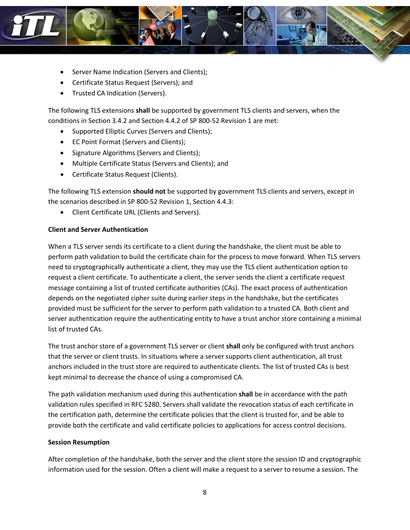

- Server Name Indication (Servers and Clients);
- Certificate Status Request (Servers); and
- Trusted CA Indication (Servers).

The following TLS extensions **shall** be supported by government TLS clients and servers, when the conditions in Section 3.4.2 and Section 4.4.2 of SP 800-52 Revision 1 are met:

- Supported Elliptic Curves (Servers and Clients);
- EC Point Format (Servers and Clients);
- Signature Algorithms (Servers and Clients);
- Multiple Certificate Status (Servers and Clients); and
- Certificate Status Request (Clients).

The following TLS extension **should not** be supported by government TLS clients and servers, except in the scenarios described in SP 800-52 Revision 1, Section 4.4.3:

• Client Certificate URL (Clients and Servers).

#### **Client and Server Authentication**

When a TLS server sends its certificate to a client during the handshake, the client must be able to perform path validation to build the certificate chain for the process to move forward. When TLS servers need to cryptographically authenticate a client, they may use the TLS client authentication option to request a client certificate. To authenticate a client, the server sends the client a certificate request message containing a list of trusted certificate authorities (CAs). The exact process of authentication depends on the negotiated cipher suite during earlier steps in the handshake, but the certificates provided must be sufficient for the server to perform path validation to a trusted CA. Both client and server authentication require the authenticating entity to have a trust anchor store containing a minimal list of trusted CAs.

The trust anchor store of a government TLS server or client **shall** only be configured with trust anchors that the server or client trusts. In situations where a server supports client authentication, all trust anchors included in the trust store are required to authenticate clients. The list of trusted CAs is best kept minimal to decrease the chance of using a compromised CA.

The path validation mechanism used during this authentication **shall** be in accordance with the path validation rules specified in RFC 5280. Servers shall validate the revocation status of each certificate in the certification path, determine the certificate policies that the client is trusted for, and be able to provide both the certificate and valid certificate policies to applications for access control decisions.

## **Session Resumption**

After completion of the handshake, both the server and the client store the session ID and cryptographic information used for the session. Often a client will make a request to a server to resume a session. The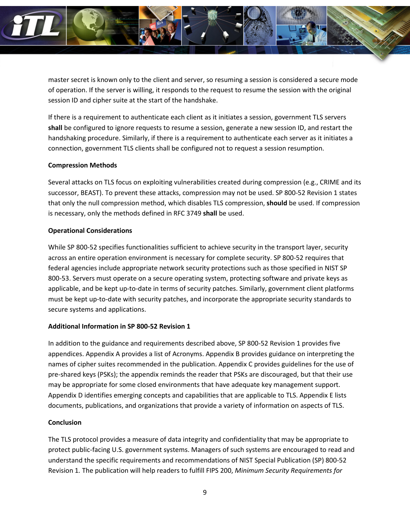

master secret is known only to the client and server, so resuming a session is considered a secure mode of operation. If the server is willing, it responds to the request to resume the session with the original session ID and cipher suite at the start of the handshake.

If there is a requirement to authenticate each client as it initiates a session, government TLS servers **shall** be configured to ignore requests to resume a session, generate a new session ID, and restart the handshaking procedure. Similarly, if there is a requirement to authenticate each server as it initiates a connection, government TLS clients shall be configured not to request a session resumption.

## **Compression Methods**

Several attacks on TLS focus on exploiting vulnerabilities created during compression (e.g., CRIME and its successor, BEAST). To prevent these attacks, compression may not be used. SP 800-52 Revision 1 states that only the null compression method, which disables TLS compression, **should** be used. If compression is necessary, only the methods defined in RFC 3749 **shall** be used.

## **Operational Considerations**

While SP 800-52 specifies functionalities sufficient to achieve security in the transport layer, security across an entire operation environment is necessary for complete security. SP 800-52 requires that federal agencies include appropriate network security protections such as those specified in NIST SP 800-53. Servers must operate on a secure operating system, protecting software and private keys as applicable, and be kept up-to-date in terms of security patches. Similarly, government client platforms must be kept up-to-date with security patches, and incorporate the appropriate security standards to secure systems and applications.

## **Additional Information in SP 800-52 Revision 1**

In addition to the guidance and requirements described above, SP 800-52 Revision 1 provides five appendices. Appendix A provides a list of Acronyms. Appendix B provides guidance on interpreting the names of cipher suites recommended in the publication. Appendix C provides guidelines for the use of pre-shared keys (PSKs); the appendix reminds the reader that PSKs are discouraged, but that their use may be appropriate for some closed environments that have adequate key management support. Appendix D identifies emerging concepts and capabilities that are applicable to TLS. Appendix E lists documents, publications, and organizations that provide a variety of information on aspects of TLS.

#### **Conclusion**

The TLS protocol provides a measure of data integrity and confidentiality that may be appropriate to protect public-facing U.S. government systems. Managers of such systems are encouraged to read and understand the specific requirements and recommendations of NIST Special Publication (SP) 800-52 Revision 1*.* The publication will help readers to fulfill FIPS 200, *Minimum Security Requirements for*